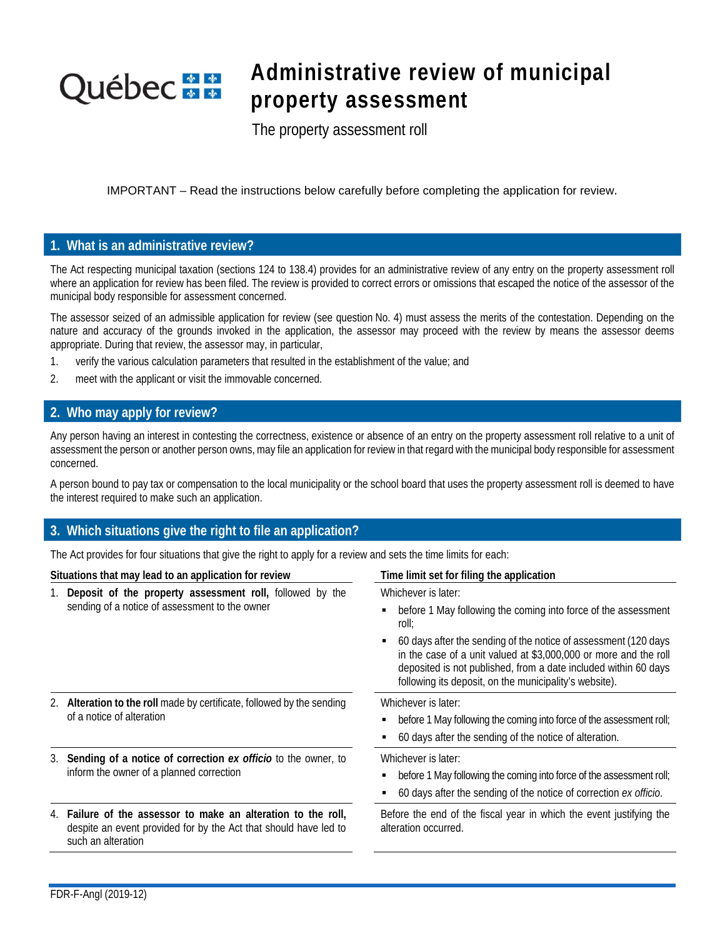# **Québec** \* \*

## **Administrative review of municipal property assessment**

The property assessment roll

IMPORTANT – Read the instructions below carefully before completing the application for review.

### **1. What is an administrative review?**

The Act respecting municipal taxation (sections 124 to 138.4) provides for an administrative review of any entry on the property assessment roll where an application for review has been filed. The review is provided to correct errors or omissions that escaped the notice of the assessor of the municipal body responsible for assessment concerned.

The assessor seized of an admissible application for review (see question No. 4) must assess the merits of the contestation. Depending on the nature and accuracy of the grounds invoked in the application, the assessor may proceed with the review by means the assessor deems appropriate. During that review, the assessor may, in particular,

- 1. verify the various calculation parameters that resulted in the establishment of the value; and
- 2. meet with the applicant or visit the immovable concerned.

### **2. Who may apply for review?**

Any person having an interest in contesting the correctness, existence or absence of an entry on the property assessment roll relative to a unit of assessment the person or another person owns, may file an application for review in that regard with the municipal body responsible for assessment concerned.

A person bound to pay tax or compensation to the local municipality or the school board that uses the property assessment roll is deemed to have the interest required to make such an application.

### **3. Which situations give the right to file an application?**

The Act provides for four situations that give the right to apply for a review and sets the time limits for each:

| Situations that may lead to an application for review |                                                                                                                                                         | Time limit set for filing the application                                                                                                                                                                                                                                                                                                                          |  |  |  |  |  |
|-------------------------------------------------------|---------------------------------------------------------------------------------------------------------------------------------------------------------|--------------------------------------------------------------------------------------------------------------------------------------------------------------------------------------------------------------------------------------------------------------------------------------------------------------------------------------------------------------------|--|--|--|--|--|
|                                                       | 1. Deposit of the property assessment roll, followed by the<br>sending of a notice of assessment to the owner                                           | Whichever is later:<br>before 1 May following the coming into force of the assessment<br>roll;<br>60 days after the sending of the notice of assessment (120 days<br>in the case of a unit valued at \$3,000,000 or more and the roll<br>deposited is not published, from a date included within 60 days<br>following its deposit, on the municipality's website). |  |  |  |  |  |
|                                                       | 2. Alteration to the roll made by certificate, followed by the sending<br>of a notice of alteration                                                     | Whichever is later:<br>before 1 May following the coming into force of the assessment roll;<br>60 days after the sending of the notice of alteration.                                                                                                                                                                                                              |  |  |  |  |  |
|                                                       | 3. Sending of a notice of correction ex officio to the owner, to<br>inform the owner of a planned correction                                            | Whichever is later:<br>before 1 May following the coming into force of the assessment roll;<br>60 days after the sending of the notice of correction ex officio.                                                                                                                                                                                                   |  |  |  |  |  |
|                                                       | 4. Failure of the assessor to make an alteration to the roll,<br>despite an event provided for by the Act that should have led to<br>such an alteration | Before the end of the fiscal year in which the event justifying the<br>alteration occurred.                                                                                                                                                                                                                                                                        |  |  |  |  |  |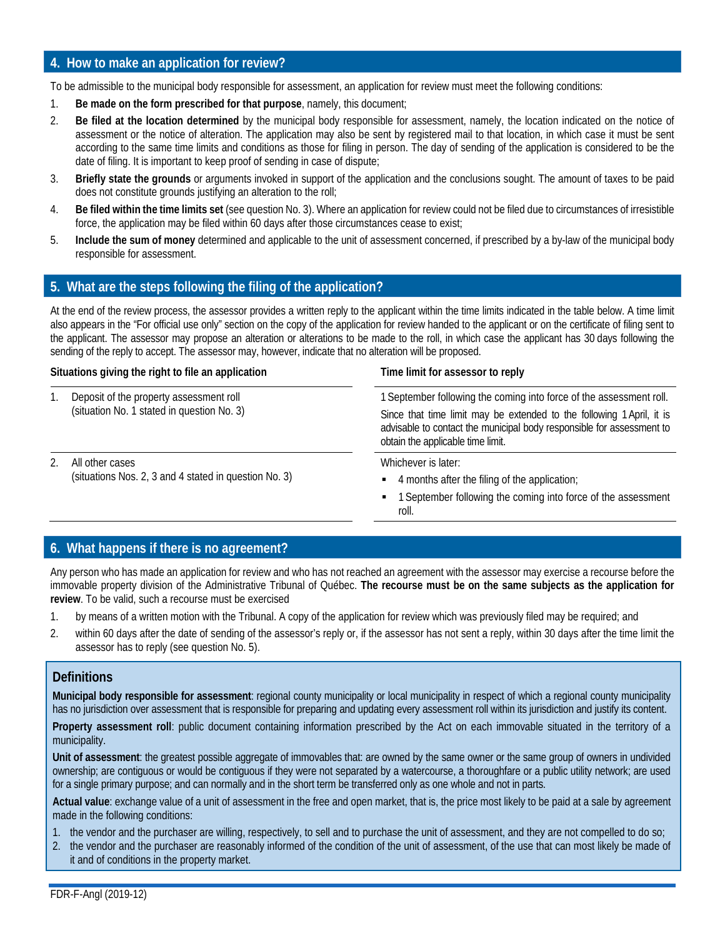### **4. How to make an application for review?**

To be admissible to the municipal body responsible for assessment, an application for review must meet the following conditions:

- 1. **Be made on the form prescribed for that purpose**, namely, this document;
- 2. **Be filed at the location determined** by the municipal body responsible for assessment, namely, the location indicated on the notice of assessment or the notice of alteration. The application may also be sent by registered mail to that location, in which case it must be sent according to the same time limits and conditions as those for filing in person. The day of sending of the application is considered to be the date of filing. It is important to keep proof of sending in case of dispute;
- 3. **Briefly state the grounds** or arguments invoked in support of the application and the conclusions sought. The amount of taxes to be paid does not constitute grounds justifying an alteration to the roll;
- 4. **Be filed within the time limits set** (see question No. 3). Where an application for review could not be filed due to circumstances of irresistible force, the application may be filed within 60 days after those circumstances cease to exist;
- 5. **Include the sum of money** determined and applicable to the unit of assessment concerned, if prescribed by a by-law of the municipal body responsible for assessment.

### **5. What are the steps following the filing of the application?**

At the end of the review process, the assessor provides a written reply to the applicant within the time limits indicated in the table below. A time limit also appears in the "For official use only" section on the copy of the application for review handed to the applicant or on the certificate of filing sent to the applicant. The assessor may propose an alteration or alterations to be made to the roll, in which case the applicant has 30 days following the sending of the reply to accept. The assessor may, however, indicate that no alteration will be proposed.

### **Situations giving the right to file an application Time limit for assessor to reply**

- 1. Deposit of the property assessment roll (situation No. 1 stated in question No. 3)
- 2. All other cases (situations Nos. 2, 3 and 4 stated in question No. 3)

1 September following the coming into force of the assessment roll. Since that time limit may be extended to the following 1April, it is advisable to contact the municipal body responsible for assessment to obtain the applicable time limit.

Whichever is later:

- 4 months after the filing of the application;
- 1 September following the coming into force of the assessment roll.

### **6. What happens if there is no agreement?**

Any person who has made an application for review and who has not reached an agreement with the assessor may exercise a recourse before the immovable property division of the Administrative Tribunal of Québec. **The recourse must be on the same subjects as the application for review**. To be valid, such a recourse must be exercised

- 1. by means of a written motion with the Tribunal. A copy of the application for review which was previously filed may be required; and
- 2. within 60 days after the date of sending of the assessor's reply or, if the assessor has not sent a reply, within 30 days after the time limit the assessor has to reply (see question No. 5).

### **Definitions**

**Municipal body responsible for assessment**: regional county municipality or local municipality in respect of which a regional county municipality has no jurisdiction over assessment that is responsible for preparing and updating every assessment roll within its jurisdiction and justify its content.

**Property assessment roll**: public document containing information prescribed by the Act on each immovable situated in the territory of a municipality.

**Unit of assessment**: the greatest possible aggregate of immovables that: are owned by the same owner or the same group of owners in undivided ownership; are contiguous or would be contiguous if they were not separated by a watercourse, a thoroughfare or a public utility network; are used for a single primary purpose; and can normally and in the short term be transferred only as one whole and not in parts.

**Actual value**: exchange value of a unit of assessment in the free and open market, that is, the price most likely to be paid at a sale by agreement made in the following conditions:

- 1. the vendor and the purchaser are willing, respectively, to sell and to purchase the unit of assessment, and they are not compelled to do so;
- 2. the vendor and the purchaser are reasonably informed of the condition of the unit of assessment, of the use that can most likely be made of it and of conditions in the property market.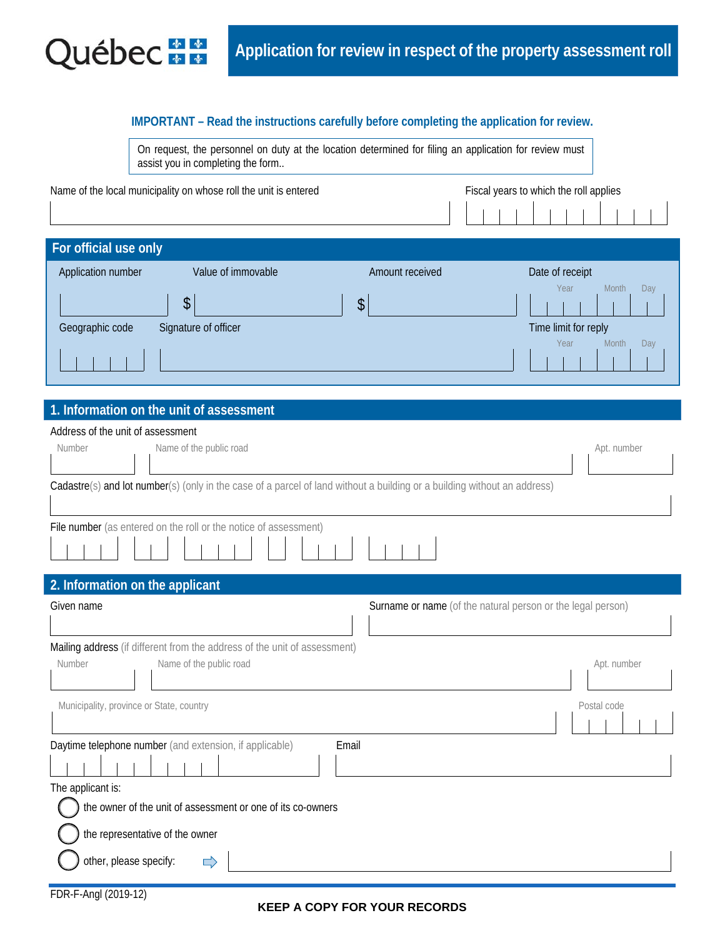

### **IMPORTANT – Read the instructions carefully before completing the application for review.**

|                                   | On request, the personnel on duty at the location determined for filing an application for review must |
|-----------------------------------|--------------------------------------------------------------------------------------------------------|
| assist you in completing the form |                                                                                                        |

| Name of the local municipality on whose roll the unit is entered |                    |                 | Fiscal years to which the roll applies |
|------------------------------------------------------------------|--------------------|-----------------|----------------------------------------|
| For official use only                                            |                    |                 |                                        |
| Application number                                               | Value of immovable | Amount received | Date of receipt                        |
| \$                                                               |                    | \$              | Year<br>Day<br>Month                   |
| Signature of officer<br>Geographic code                          |                    |                 | Time limit for reply                   |
|                                                                  |                    |                 | Year<br>Month<br>Day                   |

### **1. Information on the unit of assessment**

| Address of the unit of assessment                                                                                        |             |
|--------------------------------------------------------------------------------------------------------------------------|-------------|
| Name of the public road<br>Number                                                                                        | Apt. number |
|                                                                                                                          |             |
| Cadastre(s) and lot number(s) (only in the case of a parcel of land without a building or a building without an address) |             |
|                                                                                                                          |             |
| File number (as entered on the roll or the notice of assessment)                                                         |             |
|                                                                                                                          |             |
| 2. Information on the applicant                                                                                          |             |
| Given name<br>Surname or name (of the natural person or the legal person)                                                |             |
|                                                                                                                          |             |
| Mailing address (if different from the address of the unit of assessment)                                                |             |
| Name of the public road<br>Number                                                                                        | Apt. number |
|                                                                                                                          |             |
| Municipality, province or State, country                                                                                 | Postal code |
|                                                                                                                          |             |
| Daytime telephone number (and extension, if applicable)<br>Email                                                         |             |
|                                                                                                                          |             |
| The applicant is:                                                                                                        |             |
| the owner of the unit of assessment or one of its co-owners                                                              |             |
| the representative of the owner                                                                                          |             |
| other, please specify:                                                                                                   |             |
| FDR-F-Angl (2019-12)                                                                                                     |             |

### **KEEP A COPY FOR YOUR RECORDS**